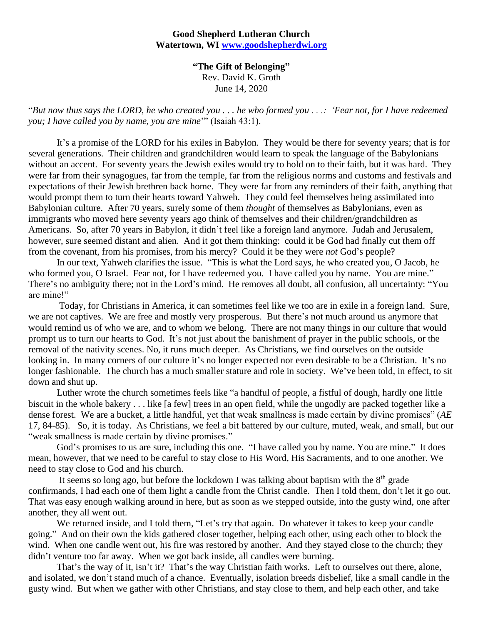## **Good Shepherd Lutheran Church Watertown, WI [www.goodshepherdwi.org](http://www.goodshepherdwi.org/)**

**"The Gift of Belonging"** Rev. David K. Groth June 14, 2020

"*But now thus says the LORD, he who created you . . . he who formed you . . .: 'Fear not, for I have redeemed you; I have called you by name, you are mine*'" (Isaiah 43:1).

It's a promise of the LORD for his exiles in Babylon. They would be there for seventy years; that is for several generations. Their children and grandchildren would learn to speak the language of the Babylonians without an accent. For seventy years the Jewish exiles would try to hold on to their faith, but it was hard. They were far from their synagogues, far from the temple, far from the religious norms and customs and festivals and expectations of their Jewish brethren back home. They were far from any reminders of their faith, anything that would prompt them to turn their hearts toward Yahweh. They could feel themselves being assimilated into Babylonian culture. After 70 years, surely some of them *thought* of themselves as Babylonians, even as immigrants who moved here seventy years ago think of themselves and their children/grandchildren as Americans. So, after 70 years in Babylon, it didn't feel like a foreign land anymore. Judah and Jerusalem, however, sure seemed distant and alien. And it got them thinking: could it be God had finally cut them off from the covenant, from his promises, from his mercy? Could it be they were *not* God's people?

In our text, Yahweh clarifies the issue. "This is what the Lord says, he who created you, O Jacob, he who formed you, O Israel. Fear not, for I have redeemed you. I have called you by name. You are mine." There's no ambiguity there; not in the Lord's mind. He removes all doubt, all confusion, all uncertainty: "You are mine!"

Today, for Christians in America, it can sometimes feel like we too are in exile in a foreign land. Sure, we are not captives. We are free and mostly very prosperous. But there's not much around us anymore that would remind us of who we are, and to whom we belong. There are not many things in our culture that would prompt us to turn our hearts to God. It's not just about the banishment of prayer in the public schools, or the removal of the nativity scenes. No, it runs much deeper. As Christians, we find ourselves on the outside looking in. In many corners of our culture it's no longer expected nor even desirable to be a Christian. It's no longer fashionable. The church has a much smaller stature and role in society. We've been told, in effect, to sit down and shut up.

Luther wrote the church sometimes feels like "a handful of people, a fistful of dough, hardly one little biscuit in the whole bakery . . . like [a few] trees in an open field, while the ungodly are packed together like a dense forest. We are a bucket, a little handful, yet that weak smallness is made certain by divine promises" (*AE*  17, 84-85). So, it is today. As Christians, we feel a bit battered by our culture, muted, weak, and small, but our "weak smallness is made certain by divine promises."

God's promises to us are sure, including this one. "I have called you by name. You are mine." It does mean, however, that we need to be careful to stay close to His Word, His Sacraments, and to one another. We need to stay close to God and his church.

It seems so long ago, but before the lockdown I was talking about baptism with the  $8<sup>th</sup>$  grade confirmands, I had each one of them light a candle from the Christ candle. Then I told them, don't let it go out. That was easy enough walking around in here, but as soon as we stepped outside, into the gusty wind, one after another, they all went out.

We returned inside, and I told them, "Let's try that again. Do whatever it takes to keep your candle going." And on their own the kids gathered closer together, helping each other, using each other to block the wind. When one candle went out, his fire was restored by another. And they stayed close to the church; they didn't venture too far away. When we got back inside, all candles were burning.

That's the way of it, isn't it? That's the way Christian faith works. Left to ourselves out there, alone, and isolated, we don't stand much of a chance. Eventually, isolation breeds disbelief, like a small candle in the gusty wind. But when we gather with other Christians, and stay close to them, and help each other, and take